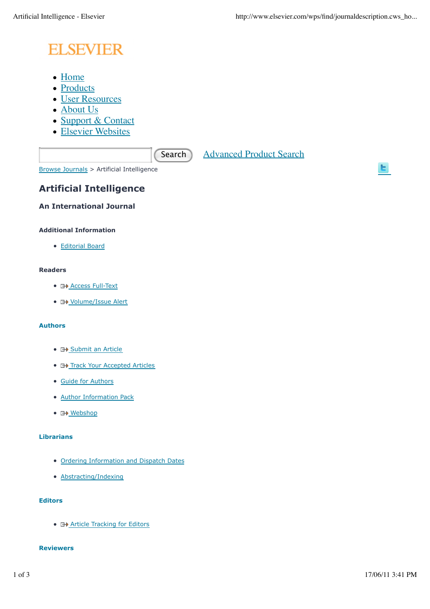# **ELSEVIER**

- Home
- Products
- User Resources
- About Us
- Support & Contact
- Elsevier Websites

Search Advanced Product Search

Browse Journals > Artificial Intelligence

# **Artificial Intelligence**

**An International Journal**

# **Additional Information**

Editorial Board

## **Readers**

- **E+ Access Full-Text**
- **H** Volume/Issue Alert

## **Authors**

- **E+ Submit an Article**
- **E+ Track Your Accepted Articles**
- Guide for Authors
- Author Information Pack
- 日<u>》Webshop</u>

# **Librarians**

- Ordering Information and Dispatch Dates
- Abstracting/Indexing

# **Editors**

**• E+ Article Tracking for Editors** 

## **Reviewers**

ы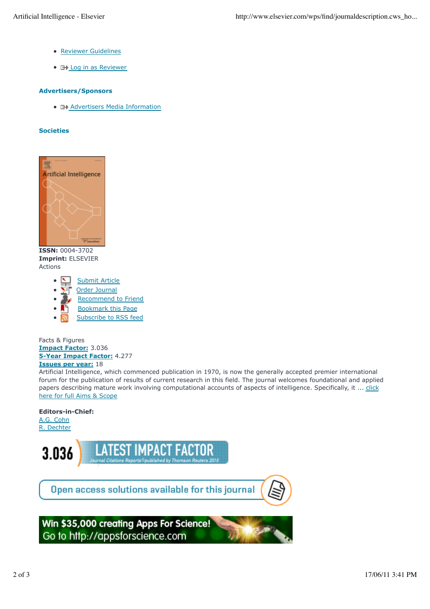- Reviewer Guidelines
- **E+** Log in as Reviewer

## **Advertisers/Sponsors**

• **E+>** Advertisers Media Information

#### **Societies**



**ISSN:** 0004-3702 **Imprint:** ELSEVIER Actions

- Submit Article
- Order Journal
- Recommend to Friend
- Bookmark this Page
- Subscribe to RSS feed

Facts & Figures **Impact Factor:** 3.036 **5-Year Impact Factor:** 4.277 **Issues per year:** 18

Artificial Intelligence, which commenced publication in 1970, is now the generally accepted premier international forum for the publication of results of current research in this field. The journal welcomes foundational and applied papers describing mature work involving computational accounts of aspects of intelligence. Specifically, it ... click here for full Aims & Scope

# **Editors-in-Chief:**

A.G. Cohn R. Dechter